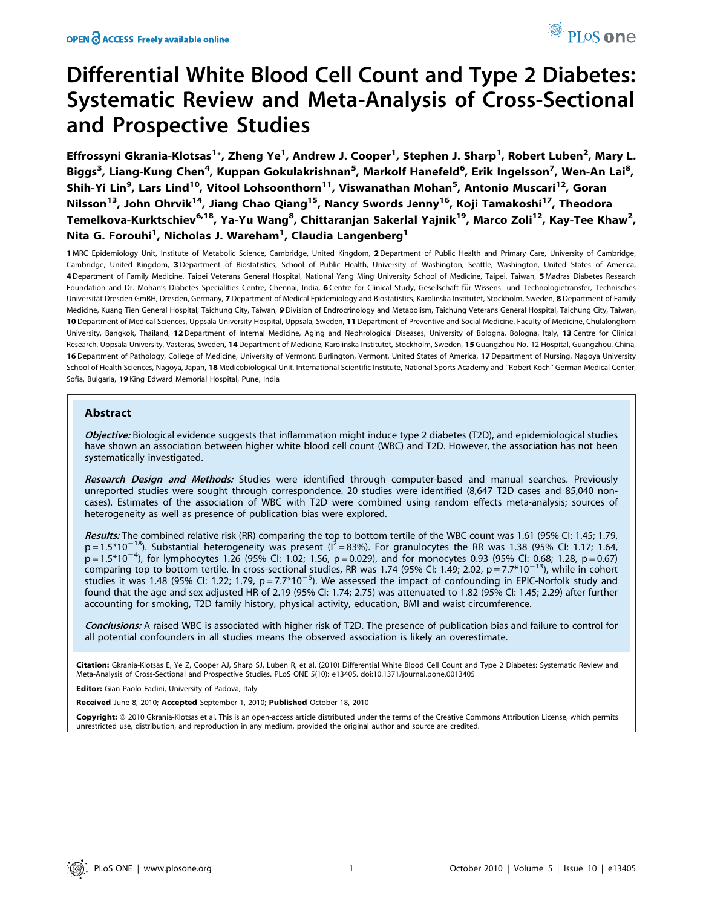# Differential White Blood Cell Count and Type 2 Diabetes: Systematic Review and Meta-Analysis of Cross-Sectional and Prospective Studies

Effrossyni Gkrania-Klotsas<sup>1</sup>\*, Zheng Ye<sup>1</sup>, Andrew J. Cooper<sup>1</sup>, Stephen J. Sharp<sup>1</sup>, Robert Luben<sup>2</sup>, Mary L. Biggs<sup>3</sup>, Liang-Kung Chen<sup>4</sup>, Kuppan Gokulakrishnan<sup>5</sup>, Markolf Hanefeld<sup>6</sup>, Erik Ingelsson<sup>7</sup>, Wen-An Lai<sup>8</sup>, Shih-Yi Lin<sup>9</sup>, Lars Lind<sup>10</sup>, Vitool Lohsoonthorn<sup>11</sup>, Viswanathan Mohan<sup>5</sup>, Antonio Muscari<sup>12</sup>, Goran Nilsson<sup>13</sup>, John Ohrvik<sup>14</sup>, Jiang Chao Qiang<sup>15</sup>, Nancy Swords Jenny<sup>16</sup>, Koji Tamakoshi<sup>17</sup>, Theodora Temelkova-Kurktschiev<sup>6,18</sup>, Ya-Yu Wang<sup>8</sup>, Chittaranjan Sakerlal Yajnik<sup>19</sup>, Marco Zoli<sup>12</sup>, Kay-Tee Khaw<sup>2</sup>, Nita G. Forouhi<sup>1</sup>, Nicholas J. Wareham<sup>1</sup>, Claudia Langenberg<sup>1</sup>

1 MRC Epidemiology Unit, Institute of Metabolic Science, Cambridge, United Kingdom, 2 Department of Public Health and Primary Care, University of Cambridge, Cambridge, United Kingdom, 3 Department of Biostatistics, School of Public Health, University of Washington, Seattle, Washington, United States of America, 4 Department of Family Medicine, Taipei Veterans General Hospital, National Yang Ming University School of Medicine, Taipei, Taiwan, 5 Madras Diabetes Research Foundation and Dr. Mohan's Diabetes Specialities Centre, Chennai, India, 6 Centre for Clinical Study, Gesellschaft für Wissens- und Technologietransfer, Technisches Universität Dresden GmBH, Dresden, Germany, 7 Department of Medical Epidemiology and Biostatistics, Karolinska Institutet, Stockholm, Sweden, 8 Department of Family Medicine, Kuang Tien General Hospital, Taichung City, Taiwan, 9 Division of Endrocrinology and Metabolism, Taichung Veterans General Hospital, Taichung City, Taiwan, 10 Department of Medical Sciences, Uppsala University Hospital, Uppsala, Sweden, 11 Department of Preventive and Social Medicine, Faculty of Medicine, Chulalongkorn University, Bangkok, Thailand, 12 Department of Internal Medicine, Aging and Nephrological Diseases, University of Bologna, Bologna, Italy, 13 Centre for Clinical Research, Uppsala University, Vasteras, Sweden, 14 Department of Medicine, Karolinska Institutet, Stockholm, Sweden, 15 Guangzhou No. 12 Hospital, Guangzhou, China, 16 Department of Pathology, College of Medicine, University of Vermont, Burlington, Vermont, United States of America, 17 Department of Nursing, Nagoya University School of Health Sciences, Nagoya, Japan, 18 Medicobiological Unit, International Scientific Institute, National Sports Academy and "Robert Koch" German Medical Center, Sofia, Bulgaria, 19 King Edward Memorial Hospital, Pune, India

## Abstract

Objective: Biological evidence suggests that inflammation might induce type 2 diabetes (T2D), and epidemiological studies have shown an association between higher white blood cell count (WBC) and T2D. However, the association has not been systematically investigated.

Research Design and Methods: Studies were identified through computer-based and manual searches. Previously unreported studies were sought through correspondence. 20 studies were identified (8,647 T2D cases and 85,040 noncases). Estimates of the association of WBC with T2D were combined using random effects meta-analysis; sources of heterogeneity as well as presence of publication bias were explored.

Results: The combined relative risk (RR) comparing the top to bottom tertile of the WBC count was 1.61 (95% CI: 1.45; 1.79,  $p = 1.5*10^{-18}$ ). Substantial heterogeneity was present ( $I^2 = 83%$ ). For granulocytes the RR was 1.38 (95% CI: 1.17; 1.64,  $p = 1.5*10^{-4}$ ), for lymphocytes 1.26 (95% CI: 1.02; 1.56, p = 0.029), and for monocytes 0.93 (95% CI: 0.68; 1.28, p = 0.67) comparing top to bottom tertile. In cross-sectional studies, RR was 1.74 (95% CI: 1.49; 2.02, p = 7.7\*10<sup>-13</sup>), while in cohort studies it was 1.48 (95% Cl: 1.22; 1.79,  $p = 7.7*10^{-5}$ ). We assessed the impact of confounding in EPIC-Norfolk study and found that the age and sex adjusted HR of 2.19 (95% CI: 1.74; 2.75) was attenuated to 1.82 (95% CI: 1.45; 2.29) after further accounting for smoking, T2D family history, physical activity, education, BMI and waist circumference.

Conclusions: A raised WBC is associated with higher risk of T2D. The presence of publication bias and failure to control for all potential confounders in all studies means the observed association is likely an overestimate.

Citation: Gkrania-Klotsas E, Ye Z, Cooper AJ, Sharp SJ, Luben R, et al. (2010) Differential White Blood Cell Count and Type 2 Diabetes: Systematic Review and Meta-Analysis of Cross-Sectional and Prospective Studies. PLoS ONE 5(10): e13405. doi:10.1371/journal.pone.0013405

Editor: Gian Paolo Fadini, University of Padova, Italy

Received June 8, 2010; Accepted September 1, 2010; Published October 18, 2010

Copyright: © 2010 Gkrania-Klotsas et al. This is an open-access article distributed under the terms of the Creative Commons Attribution License, which permits unrestricted use, distribution, and reproduction in any medium, provided the original author and source are credited.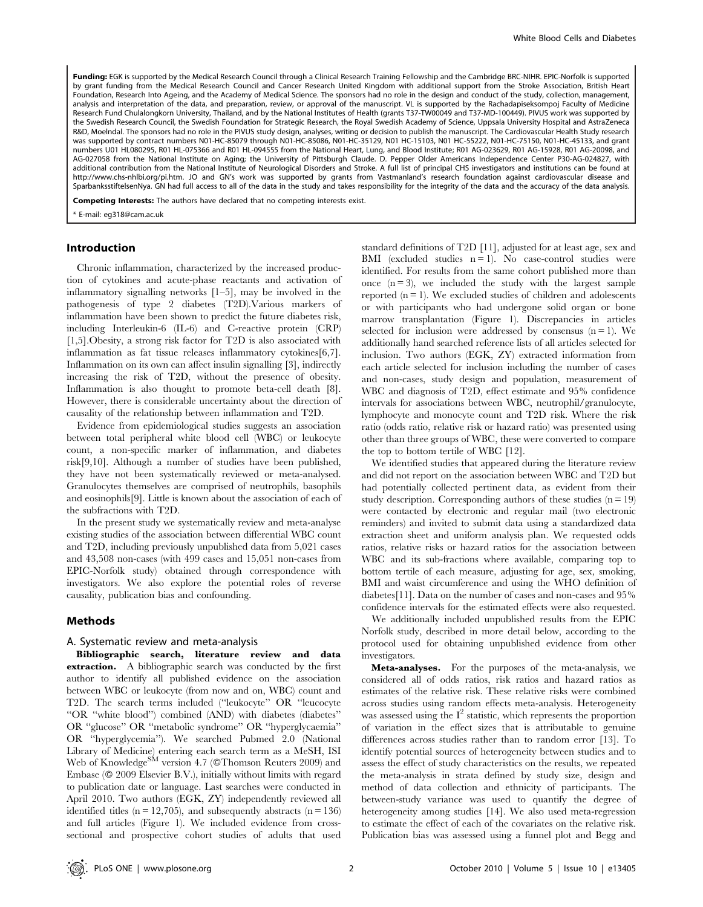Funding: EGK is supported by the Medical Research Council through a Clinical Research Training Fellowship and the Cambridge BRC-NIHR. EPIC-Norfolk is supported by grant funding from the Medical Research Council and Cancer Research United Kingdom with additional support from the Stroke Association, British Heart Foundation, Research Into Ageing, and the Academy of Medical Science. The sponsors had no role in the design and conduct of the study, collection, management, analysis and interpretation of the data, and preparation, review, or approval of the manuscript. VL is supported by the Rachadapiseksompoj Faculty of Medicine Research Fund Chulalongkorn University, Thailand, and by the National Institutes of Health (grants T37-TW00049 and T37-MD-100449). PIVUS work was supported by the Swedish Research Council, the Swedish Foundation for Strategic Research, the Royal Swedish Academy of Science, Uppsala University Hospital and AstraZeneca R&D, Moelndal. The sponsors had no role in the PIVUS study design, analyses, writing or decision to publish the manuscript. The Cardiovascular Health Study research was supported by contract numbers N01-HC-85079 through N01-HC-85086, N01-HC-35129, N01 HC-15103, N01 HC-55222, N01-HC-75150, N01-HC-45133, and grant numbers U01 HL080295, R01 HL-075366 and R01 HL-094555 from the National Heart, Lung, and Blood Institute; R01 AG-023629, R01 AG-15928, R01 AG-20098, and AG-027058 from the National Institute on Aging; the University of Pittsburgh Claude. D. Pepper Older Americans Independence Center P30-AG-024827, with additional contribution from the National Institute of Neurological Disorders and Stroke. A full list of principal CHS investigators and institutions can be found at http://www.chs-nhlbi.org/pi.htm. JO and GN's work was supported by grants from Vastmanland's research foundation against cardiovascular disease and SparbanksstiftelsenNya. GN had full access to all of the data in the study and takes responsibility for the integrity of the data and the accuracy of the data analysis.

Competing Interests: The authors have declared that no competing interests exist.

### Introduction

Chronic inflammation, characterized by the increased production of cytokines and acute-phase reactants and activation of inflammatory signalling networks [1–5], may be involved in the pathogenesis of type 2 diabetes (T2D).Various markers of inflammation have been shown to predict the future diabetes risk, including Interleukin-6 (IL-6) and C-reactive protein (CRP) [1,5].Obesity, a strong risk factor for T2D is also associated with inflammation as fat tissue releases inflammatory cytokines[6,7]. Inflammation on its own can affect insulin signalling [3], indirectly increasing the risk of T2D, without the presence of obesity. Inflammation is also thought to promote beta-cell death [8]. However, there is considerable uncertainty about the direction of causality of the relationship between inflammation and T2D.

Evidence from epidemiological studies suggests an association between total peripheral white blood cell (WBC) or leukocyte count, a non-specific marker of inflammation, and diabetes risk[9,10]. Although a number of studies have been published, they have not been systematically reviewed or meta-analysed. Granulocytes themselves are comprised of neutrophils, basophils and eosinophils[9]. Little is known about the association of each of the subfractions with T2D.

In the present study we systematically review and meta-analyse existing studies of the association between differential WBC count and T2D, including previously unpublished data from 5,021 cases and 43,508 non-cases (with 499 cases and 15,051 non-cases from EPIC-Norfolk study) obtained through correspondence with investigators. We also explore the potential roles of reverse causality, publication bias and confounding.

#### Methods

#### A. Systematic review and meta-analysis

Bibliographic search, literature review and data **extraction.** A bibliographic search was conducted by the first author to identify all published evidence on the association between WBC or leukocyte (from now and on, WBC) count and T2D. The search terms included (''leukocyte'' OR ''leucocyte ''OR ''white blood'') combined (AND) with diabetes (diabetes'' OR ''glucose'' OR ''metabolic syndrome'' OR ''hyperglycaemia'' OR ''hyperglycemia''). We searched Pubmed 2.0 (National Library of Medicine) entering each search term as a MeSH, ISI Web of Knowledge<sup>SM</sup> version 4.7 (©Thomson Reuters 2009) and Embase (© 2009 Elsevier B.V.), initially without limits with regard to publication date or language. Last searches were conducted in April 2010. Two authors (EGK, ZY) independently reviewed all identified titles ( $n = 12,705$ ), and subsequently abstracts ( $n = 136$ ) and full articles (Figure 1). We included evidence from crosssectional and prospective cohort studies of adults that used standard definitions of T2D [11], adjusted for at least age, sex and BMI (excluded studies  $n = 1$ ). No case-control studies were identified. For results from the same cohort published more than once  $(n=3)$ , we included the study with the largest sample reported  $(n = 1)$ . We excluded studies of children and adolescents or with participants who had undergone solid organ or bone marrow transplantation (Figure 1). Discrepancies in articles selected for inclusion were addressed by consensus  $(n = 1)$ . We additionally hand searched reference lists of all articles selected for inclusion. Two authors (EGK, ZY) extracted information from each article selected for inclusion including the number of cases and non-cases, study design and population, measurement of WBC and diagnosis of T2D, effect estimate and 95% confidence intervals for associations between WBC, neutrophil/granulocyte, lymphocyte and monocyte count and T2D risk. Where the risk ratio (odds ratio, relative risk or hazard ratio) was presented using other than three groups of WBC, these were converted to compare the top to bottom tertile of WBC [12].

We identified studies that appeared during the literature review and did not report on the association between WBC and T2D but had potentially collected pertinent data, as evident from their study description. Corresponding authors of these studies  $(n = 19)$ were contacted by electronic and regular mail (two electronic reminders) and invited to submit data using a standardized data extraction sheet and uniform analysis plan. We requested odds ratios, relative risks or hazard ratios for the association between WBC and its sub-fractions where available, comparing top to bottom tertile of each measure, adjusting for age, sex, smoking, BMI and waist circumference and using the WHO definition of diabetes[11]. Data on the number of cases and non-cases and 95% confidence intervals for the estimated effects were also requested.

We additionally included unpublished results from the EPIC Norfolk study, described in more detail below, according to the protocol used for obtaining unpublished evidence from other investigators.

Meta-analyses. For the purposes of the meta-analysis, we considered all of odds ratios, risk ratios and hazard ratios as estimates of the relative risk. These relative risks were combined across studies using random effects meta-analysis. Heterogeneity was assessed using the  $I^2$  statistic, which represents the proportion of variation in the effect sizes that is attributable to genuine differences across studies rather than to random error [13]. To identify potential sources of heterogeneity between studies and to assess the effect of study characteristics on the results, we repeated the meta-analysis in strata defined by study size, design and method of data collection and ethnicity of participants. The between-study variance was used to quantify the degree of heterogeneity among studies [14]. We also used meta-regression to estimate the effect of each of the covariates on the relative risk. Publication bias was assessed using a funnel plot and Begg and

<sup>\*</sup> E-mail: eg318@cam.ac.uk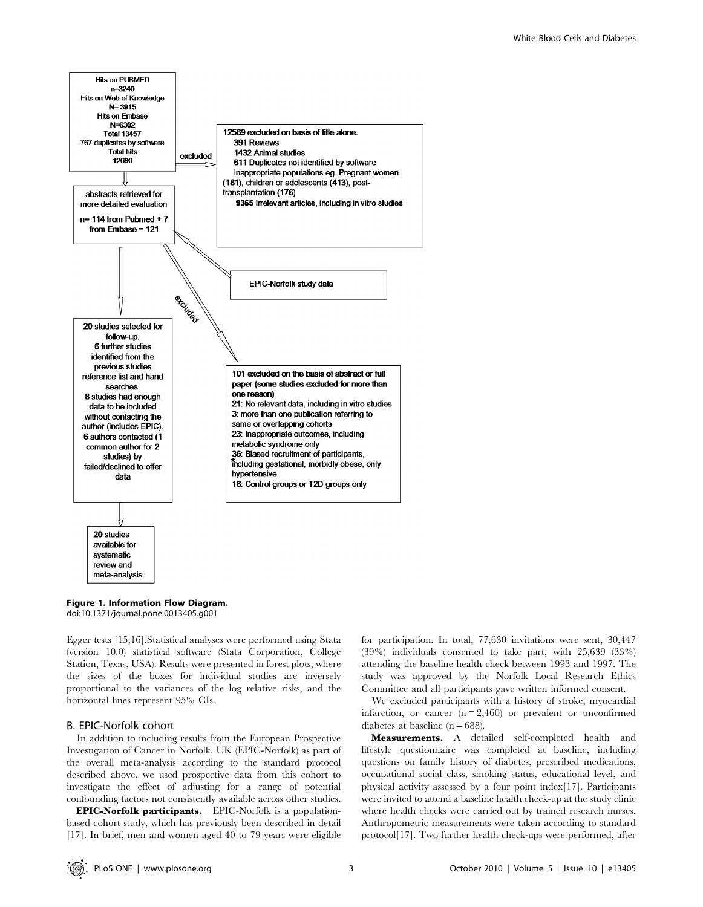

Figure 1. Information Flow Diagram. doi:10.1371/journal.pone.0013405.g001

Egger tests [15,16].Statistical analyses were performed using Stata (version 10.0) statistical software (Stata Corporation, College Station, Texas, USA). Results were presented in forest plots, where the sizes of the boxes for individual studies are inversely proportional to the variances of the log relative risks, and the horizontal lines represent 95% CIs.

## B. EPIC-Norfolk cohort

In addition to including results from the European Prospective Investigation of Cancer in Norfolk, UK (EPIC-Norfolk) as part of the overall meta-analysis according to the standard protocol described above, we used prospective data from this cohort to investigate the effect of adjusting for a range of potential confounding factors not consistently available across other studies.

EPIC-Norfolk participants. EPIC-Norfolk is a populationbased cohort study, which has previously been described in detail [17]. In brief, men and women aged 40 to 79 years were eligible

for participation. In total, 77,630 invitations were sent, 30,447 (39%) individuals consented to take part, with 25,639 (33%) attending the baseline health check between 1993 and 1997. The study was approved by the Norfolk Local Research Ethics Committee and all participants gave written informed consent.

We excluded participants with a history of stroke, myocardial infarction, or cancer  $(n = 2,460)$  or prevalent or unconfirmed diabetes at baseline  $(n = 688)$ .

Measurements. A detailed self-completed health and lifestyle questionnaire was completed at baseline, including questions on family history of diabetes, prescribed medications, occupational social class, smoking status, educational level, and physical activity assessed by a four point index[17]. Participants were invited to attend a baseline health check-up at the study clinic where health checks were carried out by trained research nurses. Anthropometric measurements were taken according to standard protocol[17]. Two further health check-ups were performed, after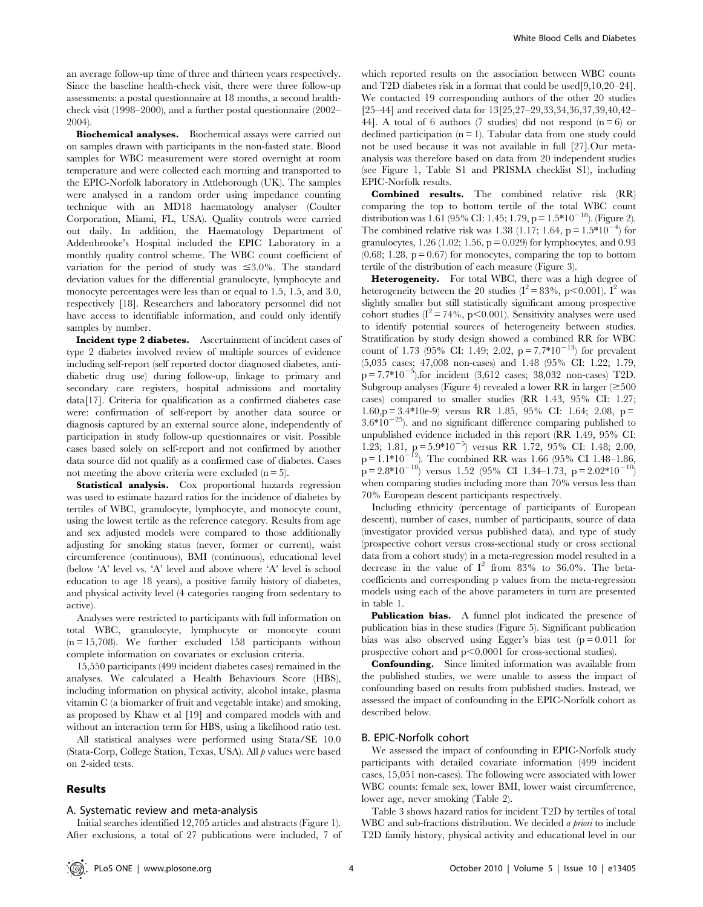an average follow-up time of three and thirteen years respectively. Since the baseline health-check visit, there were three follow-up assessments: a postal questionnaire at 18 months, a second healthcheck visit (1998–2000), and a further postal questionnaire (2002– 2004).

Biochemical analyses. Biochemical assays were carried out on samples drawn with participants in the non-fasted state. Blood samples for WBC measurement were stored overnight at room temperature and were collected each morning and transported to the EPIC-Norfolk laboratory in Attleborough (UK). The samples were analysed in a random order using impedance counting technique with an MD18 haematology analyser (Coulter Corporation, Miami, FL, USA). Quality controls were carried out daily. In addition, the Haematology Department of Addenbrooke's Hospital included the EPIC Laboratory in a monthly quality control scheme. The WBC count coefficient of variation for the period of study was  $\leq 3.0\%$ . The standard deviation values for the differential granulocyte, lymphocyte and monocyte percentages were less than or equal to 1.5, 1.5, and 3.0, respectively [18]. Researchers and laboratory personnel did not have access to identifiable information, and could only identify samples by number.

Incident type 2 diabetes. Ascertainment of incident cases of type 2 diabetes involved review of multiple sources of evidence including self-report (self reported doctor diagnosed diabetes, antidiabetic drug use) during follow-up, linkage to primary and secondary care registers, hospital admissions and mortality data[17]. Criteria for qualification as a confirmed diabetes case were: confirmation of self-report by another data source or diagnosis captured by an external source alone, independently of participation in study follow-up questionnaires or visit. Possible cases based solely on self-report and not confirmed by another data source did not qualify as a confirmed case of diabetes. Cases not meeting the above criteria were excluded  $(n = 5)$ .

Statistical analysis. Cox proportional hazards regression was used to estimate hazard ratios for the incidence of diabetes by tertiles of WBC, granulocyte, lymphocyte, and monocyte count, using the lowest tertile as the reference category. Results from age and sex adjusted models were compared to those additionally adjusting for smoking status (never, former or current), waist circumference (continuous), BMI (continuous), educational level (below 'A' level vs. 'A' level and above where 'A' level is school education to age 18 years), a positive family history of diabetes, and physical activity level (4 categories ranging from sedentary to active).

Analyses were restricted to participants with full information on total WBC, granulocyte, lymphocyte or monocyte count  $(n = 15,708)$ . We further excluded 158 participants without complete information on covariates or exclusion criteria.

15,550 participants (499 incident diabetes cases) remained in the analyses. We calculated a Health Behaviours Score (HBS), including information on physical activity, alcohol intake, plasma vitamin C (a biomarker of fruit and vegetable intake) and smoking, as proposed by Khaw et al [19] and compared models with and without an interaction term for HBS, using a likelihood ratio test.

All statistical analyses were performed using Stata/SE 10.0 (Stata-Corp, College Station, Texas, USA). All  $\rho$  values were based on 2-sided tests.

## Results

#### A. Systematic review and meta-analysis

which reported results on the association between WBC counts and T2D diabetes risk in a format that could be used[9,10,20–24]. We contacted 19 corresponding authors of the other 20 studies [25–44] and received data for 13[25,27–29,33,34,36,37,39,40,42– 44]. A total of 6 authors (7 studies) did not respond  $(n=6)$  or declined participation  $(n = 1)$ . Tabular data from one study could not be used because it was not available in full [27].Our metaanalysis was therefore based on data from 20 independent studies (see Figure 1, Table S1 and PRISMA checklist S1), including EPIC-Norfolk results.

Combined results. The combined relative risk (RR) comparing the top to bottom tertile of the total WBC count distribution was 1.61 (95% CI: 1.45; 1.79, p =  $1.5*10^{-18}$ ). (Figure 2). The combined relative risk was 1.38 (1.17; 1.64,  $p = 1.5*10^{-4}$ ) for granulocytes,  $1.26$  (1.02; 1.56,  $p = 0.029$ ) for lymphocytes, and 0.93  $(0.68; 1.28, p = 0.67)$  for monocytes, comparing the top to bottom tertile of the distribution of each measure (Figure 3).

Heterogeneity. For total WBC, there was a high degree of heterogeneity between the 20 studies  $(I^2 = 83\%, p < 0.001)$ . I<sup>2</sup> was slightly smaller but still statistically significant among prospective cohort studies  $(I^2 = 74\%, p<0.001)$ . Sensitivity analyses were used to identify potential sources of heterogeneity between studies. Stratification by study design showed a combined RR for WBC count of 1.73 (95% CI: 1.49; 2.02,  $p = 7.7*10^{-13}$ ) for prevalent (5,035 cases; 47,008 non-cases) and 1.48 (95% CI: 1.22; 1.79,  $p = 7.7*10^{-5}$ ).for incident (3,612 cases; 38,032 non-cases) T2D. Subgroup analyses (Figure 4) revealed a lower RR in larger  $(\geq 500$ cases) compared to smaller studies (RR 1.43, 95% CI: 1.27;  $1.60$ ,p = 3.4\*10e-9) versus RR 1.85, 95% CI: 1.64; 2.08, p =  $3.6*10^{-25}$ ). and no significant difference comparing published to unpublished evidence included in this report (RR 1.49, 95% CI: 1.23; 1.81,  $p = 5.9*10^{-5}$ ) versus RR 1.72, 95% CI: 1.48; 2.00,  $p = 1.1*10^{-12}$ ). The combined RR was 1.66 (95% CI 1.48–1.86,  $p = 2.8*10^{-18}$  versus 1.52 (95% CI 1.34–1.73,  $p = 2.02*10^{-10}$ ) when comparing studies including more than 70% versus less than 70% European descent participants respectively.

Including ethnicity (percentage of participants of European descent), number of cases, number of participants, source of data (investigator provided versus published data), and type of study (prospective cohort versus cross-sectional study or cross sectional data from a cohort study) in a meta-regression model resulted in a decrease in the value of  $I^2$  from 83% to 36.0%. The betacoefficients and corresponding p values from the meta-regression models using each of the above parameters in turn are presented in table 1.

Publication bias. A funnel plot indicated the presence of publication bias in these studies (Figure 5). Significant publication bias was also observed using Egger's bias test  $(p=0.011$  for prospective cohort and  $p<0.0001$  for cross-sectional studies).

Confounding. Since limited information was available from the published studies, we were unable to assess the impact of confounding based on results from published studies. Instead, we assessed the impact of confounding in the EPIC-Norfolk cohort as described below.

## B. EPIC-Norfolk cohort

We assessed the impact of confounding in EPIC-Norfolk study participants with detailed covariate information (499 incident cases, 15,051 non-cases). The following were associated with lower WBC counts: female sex, lower BMI, lower waist circumference, lower age, never smoking (Table 2).

Initial searches identified 12,705 articles and abstracts (Figure 1). After exclusions, a total of 27 publications were included, 7 of

Table 3 shows hazard ratios for incident T2D by tertiles of total WBC and sub-fractions distribution. We decided *a priori* to include T2D family history, physical activity and educational level in our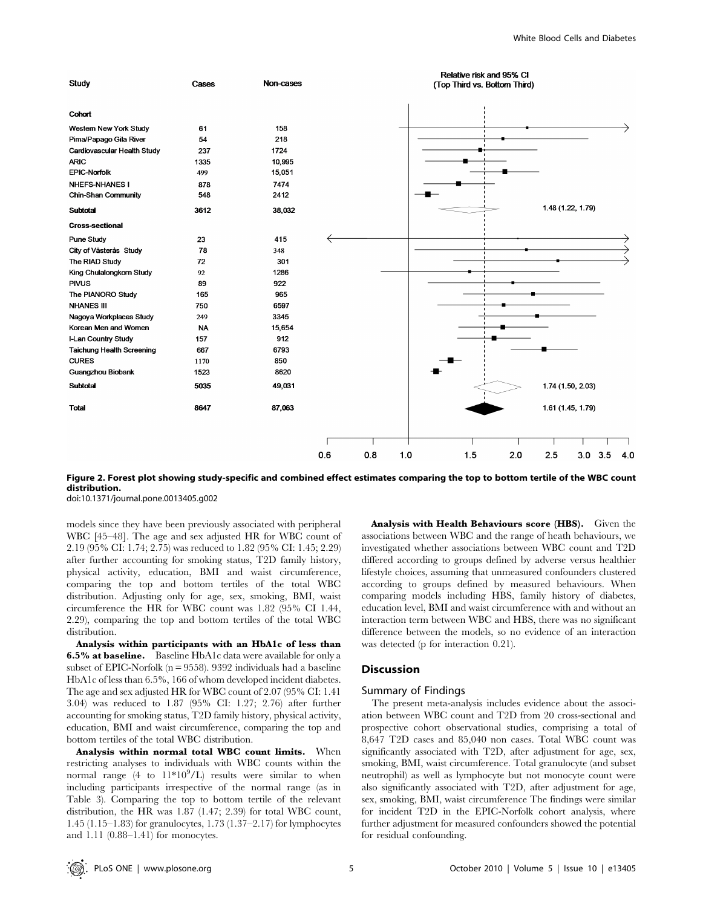

Figure 2. Forest plot showing study-specific and combined effect estimates comparing the top to bottom tertile of the WBC count distribution.

doi:10.1371/journal.pone.0013405.g002

models since they have been previously associated with peripheral WBC [45–48]. The age and sex adjusted HR for WBC count of 2.19 (95% CI: 1.74; 2.75) was reduced to 1.82 (95% CI: 1.45; 2.29) after further accounting for smoking status, T2D family history, physical activity, education, BMI and waist circumference, comparing the top and bottom tertiles of the total WBC distribution. Adjusting only for age, sex, smoking, BMI, waist circumference the HR for WBC count was 1.82 (95% CI 1.44, 2.29), comparing the top and bottom tertiles of the total WBC distribution.

Analysis within participants with an HbA1c of less than 6.5% at baseline. Baseline HbA1c data were available for only a subset of EPIC-Norfolk ( $n = 9558$ ). 9392 individuals had a baseline HbA1c of less than 6.5%, 166 of whom developed incident diabetes. The age and sex adjusted HR for WBC count of 2.07 (95% CI: 1.41 3.04) was reduced to 1.87 (95% CI: 1.27; 2.76) after further accounting for smoking status, T2D family history, physical activity, education, BMI and waist circumference, comparing the top and bottom tertiles of the total WBC distribution.

Analysis within normal total WBC count limits. When restricting analyses to individuals with WBC counts within the normal range  $(4 \text{ to } 11*10^9/L)$  results were similar to when including participants irrespective of the normal range (as in Table 3). Comparing the top to bottom tertile of the relevant distribution, the HR was 1.87 (1.47; 2.39) for total WBC count, 1.45 (1.15–1.83) for granulocytes, 1.73 (1.37–2.17) for lymphocytes and 1.11 (0.88–1.41) for monocytes.

Analysis with Health Behaviours score (HBS). Given the associations between WBC and the range of heath behaviours, we investigated whether associations between WBC count and T2D differed according to groups defined by adverse versus healthier lifestyle choices, assuming that unmeasured confounders clustered according to groups defined by measured behaviours. When comparing models including HBS, family history of diabetes, education level, BMI and waist circumference with and without an interaction term between WBC and HBS, there was no significant difference between the models, so no evidence of an interaction was detected (p for interaction 0.21).

#### Discussion

#### Summary of Findings

The present meta-analysis includes evidence about the association between WBC count and T2D from 20 cross-sectional and prospective cohort observational studies, comprising a total of 8,647 T2D cases and 85,040 non cases. Total WBC count was significantly associated with T2D, after adjustment for age, sex, smoking, BMI, waist circumference. Total granulocyte (and subset neutrophil) as well as lymphocyte but not monocyte count were also significantly associated with T2D, after adjustment for age, sex, smoking, BMI, waist circumference The findings were similar for incident T2D in the EPIC-Norfolk cohort analysis, where further adjustment for measured confounders showed the potential for residual confounding.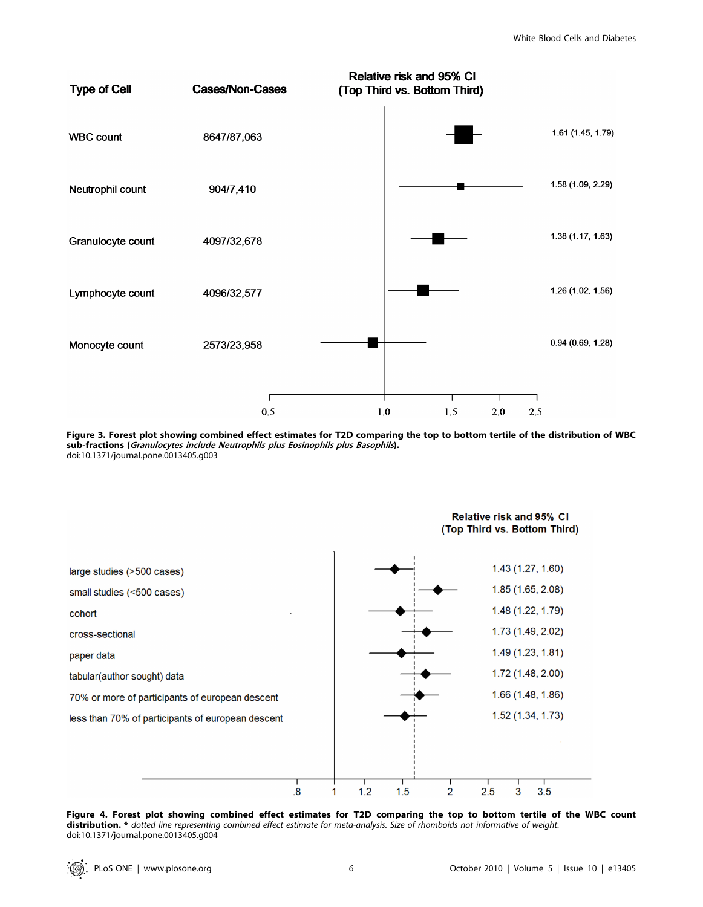

Figure 3. Forest plot showing combined effect estimates for T2D comparing the top to bottom tertile of the distribution of WBC sub-fractions (Granulocytes include Neutrophils plus Eosinophils plus Basophils). doi:10.1371/journal.pone.0013405.g003



Figure 4. Forest plot showing combined effect estimates for T2D comparing the top to bottom tertile of the WBC count distribution. \* dotted line representing combined effect estimate for meta-analysis. Size of rhomboids not informative of weight. doi:10.1371/journal.pone.0013405.g004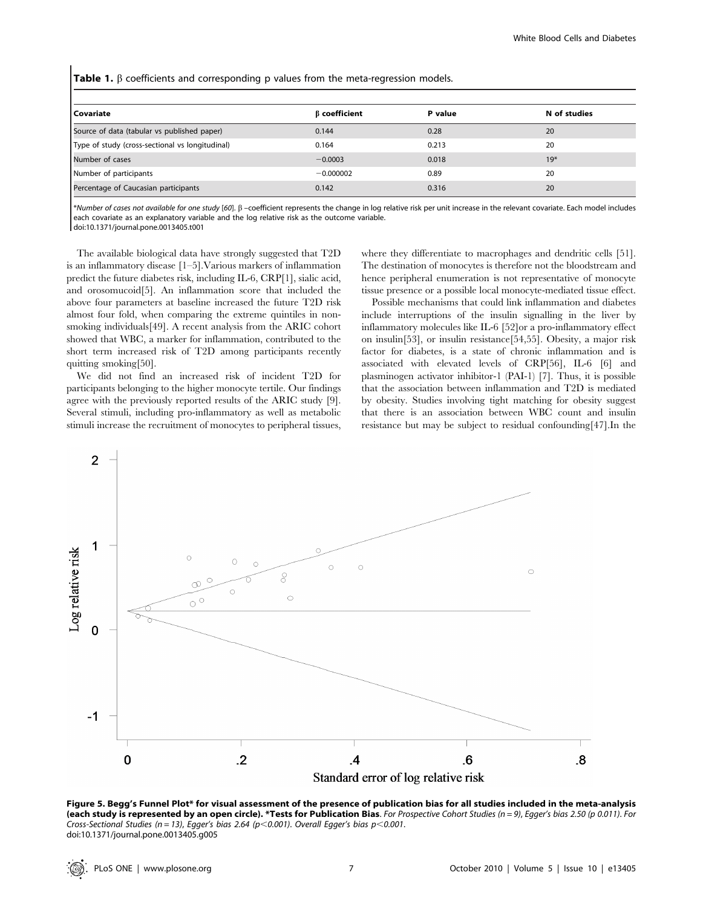| Covariate                                       | <b>B</b> coefficient | P value | N of studies |
|-------------------------------------------------|----------------------|---------|--------------|
| Source of data (tabular vs published paper)     | 0.144                | 0.28    | 20           |
| Type of study (cross-sectional vs longitudinal) | 0.164                | 0.213   | 20           |
| Number of cases                                 | $-0.0003$            | 0.018   | $19*$        |
| Number of participants                          | $-0.000002$          | 0.89    | 20           |
| Percentage of Caucasian participants            | 0.142                | 0.316   | 20           |

Table 1.  $\beta$  coefficients and corresponding p values from the meta-regression models.

\*Number of cases not available for one study [60].  $\beta$  –coefficient represents the change in log relative risk per unit increase in the relevant covariate. Each model includes each covariate as an explanatory variable and the log relative risk as the outcome variable. doi:10.1371/journal.pone.0013405.t001

The available biological data have strongly suggested that T2D is an inflammatory disease [1–5].Various markers of inflammation predict the future diabetes risk, including IL-6, CRP[1], sialic acid, and orosomucoid[5]. An inflammation score that included the above four parameters at baseline increased the future T2D risk almost four fold, when comparing the extreme quintiles in nonsmoking individuals[49]. A recent analysis from the ARIC cohort showed that WBC, a marker for inflammation, contributed to the short term increased risk of T2D among participants recently quitting smoking[50].

We did not find an increased risk of incident T2D for participants belonging to the higher monocyte tertile. Our findings agree with the previously reported results of the ARIC study [9]. Several stimuli, including pro-inflammatory as well as metabolic stimuli increase the recruitment of monocytes to peripheral tissues,

where they differentiate to macrophages and dendritic cells [51]. The destination of monocytes is therefore not the bloodstream and hence peripheral enumeration is not representative of monocyte tissue presence or a possible local monocyte-mediated tissue effect.

Possible mechanisms that could link inflammation and diabetes include interruptions of the insulin signalling in the liver by inflammatory molecules like IL-6 [52]or a pro-inflammatory effect on insulin[53], or insulin resistance[54,55]. Obesity, a major risk factor for diabetes, is a state of chronic inflammation and is associated with elevated levels of CRP[56], IL-6 [6] and plasminogen activator inhibitor-1 (PAI-1) [7]. Thus, it is possible that the association between inflammation and T2D is mediated by obesity. Studies involving tight matching for obesity suggest that there is an association between WBC count and insulin resistance but may be subject to residual confounding[47].In the



Figure 5. Begg's Funnel Plot\* for visual assessment of the presence of publication bias for all studies included in the meta-analysis (each study is represented by an open circle). \*Tests for Publication Bias. For Prospective Cohort Studies (n = 9), Egger's bias 2.50 (p 0.011). For Cross-Sectional Studies (n = 13), Egger's bias 2.64 (p<0.001). Overall Egger's bias p<0.001. doi:10.1371/journal.pone.0013405.g005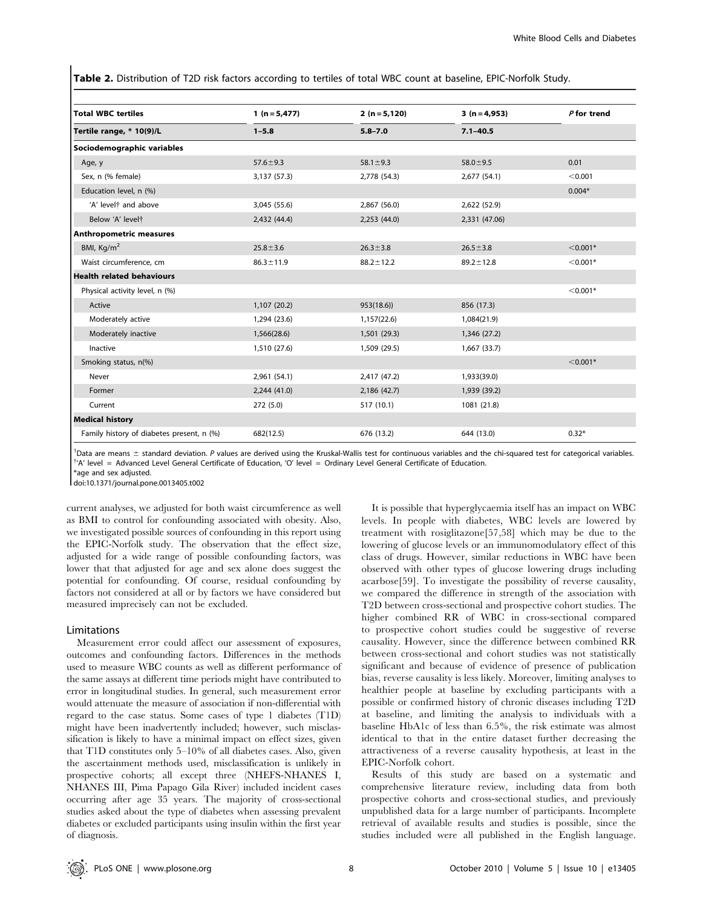Table 2. Distribution of T2D risk factors according to tertiles of total WBC count at baseline, EPIC-Norfolk Study.

| <b>Total WBC tertiles</b><br>Tertile range, * 10(9)/L | 1 ( $n = 5,477$ ) | $2(n=5,120)$    | $3(n=4,953)$    | P for trend |
|-------------------------------------------------------|-------------------|-----------------|-----------------|-------------|
|                                                       | $1 - 5.8$         | $5.8 - 7.0$     | $7.1 - 40.5$    |             |
| Sociodemographic variables                            |                   |                 |                 |             |
| Age, y                                                | $57.6 \pm 9.3$    | $58.1 \pm 9.3$  | $58.0 \pm 9.5$  | 0.01        |
| Sex, n (% female)                                     | 3,137 (57.3)      | 2,778 (54.3)    | 2,677 (54.1)    | < 0.001     |
| Education level, n (%)                                |                   |                 |                 | $0.004*$    |
| 'A' level <sup>+</sup> and above                      | 3,045 (55.6)      | 2,867 (56.0)    | 2,622 (52.9)    |             |
| Below 'A' levelt                                      | 2,432 (44.4)      | 2,253(44.0)     | 2,331 (47.06)   |             |
| <b>Anthropometric measures</b>                        |                   |                 |                 |             |
| BMI, $Kq/m2$                                          | $25.8 \pm 3.6$    | $26.3 \pm 3.8$  | $26.5 \pm 3.8$  | $< 0.001*$  |
| Waist circumference, cm                               | $86.3 \pm 11.9$   | $88.2 \pm 12.2$ | $89.2 \pm 12.8$ | $< 0.001*$  |
| <b>Health related behaviours</b>                      |                   |                 |                 |             |
| Physical activity level, n (%)                        |                   |                 |                 | $< 0.001*$  |
| Active                                                | 1,107(20.2)       | 953(18.6)       | 856 (17.3)      |             |
| Moderately active                                     | 1,294 (23.6)      | 1,157(22.6)     | 1,084(21.9)     |             |
| Moderately inactive                                   | 1,566(28.6)       | 1,501 (29.3)    | 1,346 (27.2)    |             |
| Inactive                                              | 1,510 (27.6)      | 1,509 (29.5)    | 1,667 (33.7)    |             |
| Smoking status, n(%)                                  |                   |                 |                 | $< 0.001*$  |
| Never                                                 | 2,961 (54.1)      | 2,417 (47.2)    | 1,933(39.0)     |             |
| Former                                                | 2,244(41.0)       | 2,186 (42.7)    | 1,939 (39.2)    |             |
| Current                                               | 272 (5.0)         | 517 (10.1)      | 1081 (21.8)     |             |
| <b>Medical history</b>                                |                   |                 |                 |             |
| Family history of diabetes present, n (%)             | 682(12.5)         | 676 (13.2)      | 644 (13.0)      | $0.32*$     |

<sup>1</sup>Data are means  $\pm$  standard deviation. P values are derived using the Kruskal-Wallis test for continuous variables and the chi-squared test for categorical variables.<br><sup>1/4/</sup> lovel = Advanced Lovel Goneral Certificate 'A' level = Advanced Level General Certificate of Education, 'O' level = Ordinary Level General Certificate of Education.

\*age and sex adjusted.

doi:10.1371/journal.pone.0013405.t002

current analyses, we adjusted for both waist circumference as well as BMI to control for confounding associated with obesity. Also, we investigated possible sources of confounding in this report using the EPIC-Norfolk study. The observation that the effect size, adjusted for a wide range of possible confounding factors, was lower that that adjusted for age and sex alone does suggest the potential for confounding. Of course, residual confounding by factors not considered at all or by factors we have considered but measured imprecisely can not be excluded.

#### Limitations

Measurement error could affect our assessment of exposures, outcomes and confounding factors. Differences in the methods used to measure WBC counts as well as different performance of the same assays at different time periods might have contributed to error in longitudinal studies. In general, such measurement error would attenuate the measure of association if non-differential with regard to the case status. Some cases of type 1 diabetes (T1D) might have been inadvertently included; however, such misclassification is likely to have a minimal impact on effect sizes, given that T1D constitutes only 5–10% of all diabetes cases. Also, given the ascertainment methods used, misclassification is unlikely in prospective cohorts; all except three (NHEFS-NHANES I, NHANES III, Pima Papago Gila River) included incident cases occurring after age 35 years. The majority of cross-sectional studies asked about the type of diabetes when assessing prevalent diabetes or excluded participants using insulin within the first year of diagnosis.

It is possible that hyperglycaemia itself has an impact on WBC levels. In people with diabetes, WBC levels are lowered by treatment with rosiglitazone[57,58] which may be due to the lowering of glucose levels or an immunomodulatory effect of this class of drugs. However, similar reductions in WBC have been observed with other types of glucose lowering drugs including acarbose[59]. To investigate the possibility of reverse causality, we compared the difference in strength of the association with T2D between cross-sectional and prospective cohort studies. The higher combined RR of WBC in cross-sectional compared to prospective cohort studies could be suggestive of reverse causality. However, since the difference between combined RR between cross-sectional and cohort studies was not statistically significant and because of evidence of presence of publication bias, reverse causality is less likely. Moreover, limiting analyses to healthier people at baseline by excluding participants with a possible or confirmed history of chronic diseases including T2D at baseline, and limiting the analysis to individuals with a baseline HbA1c of less than 6.5%, the risk estimate was almost identical to that in the entire dataset further decreasing the attractiveness of a reverse causality hypothesis, at least in the EPIC-Norfolk cohort.

Results of this study are based on a systematic and comprehensive literature review, including data from both prospective cohorts and cross-sectional studies, and previously unpublished data for a large number of participants. Incomplete retrieval of available results and studies is possible, since the studies included were all published in the English language.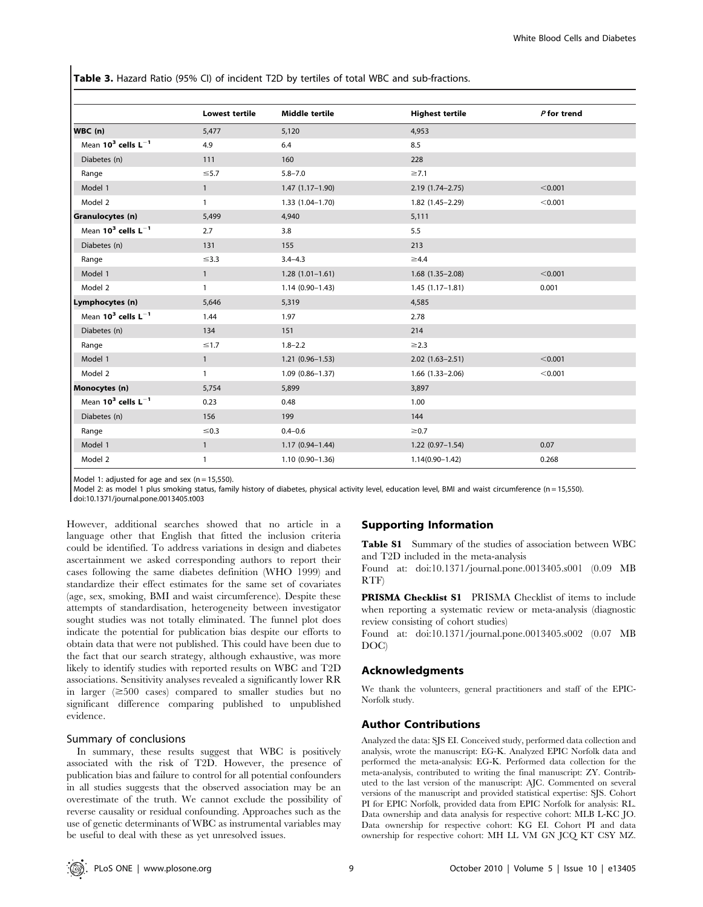Table 3. Hazard Ratio (95% CI) of incident T2D by tertiles of total WBC and sub-fractions.

|                            | <b>Lowest tertile</b> | <b>Middle tertile</b> | <b>Highest tertile</b> | $P$ for trend |
|----------------------------|-----------------------|-----------------------|------------------------|---------------|
| WBC (n)                    | 5,477                 | 5,120                 | 4,953                  |               |
| Mean $10^3$ cells $L^{-1}$ | 4.9                   | 6.4                   | 8.5                    |               |
| Diabetes (n)               | 111                   | 160                   | 228                    |               |
| Range                      | $\leq 5.7$            | $5.8 - 7.0$           | $\geq 7.1$             |               |
| Model 1                    | $\mathbf{1}$          | $1.47(1.17-1.90)$     | $2.19(1.74 - 2.75)$    | < 0.001       |
| Model 2                    | $\mathbf{1}$          | $1.33(1.04 - 1.70)$   | $1.82(1.45 - 2.29)$    | < 0.001       |
| Granulocytes (n)           | 5,499                 | 4,940                 | 5,111                  |               |
| Mean $10^3$ cells $L^{-1}$ | 2.7                   | 3.8                   | 5.5                    |               |
| Diabetes (n)               | 131                   | 155                   | 213                    |               |
| Range                      | $\leq$ 3.3            | $3.4 - 4.3$           | $\geq 4.4$             |               |
| Model 1                    | $\mathbf{1}$          | $1.28(1.01-1.61)$     | $1.68$ $(1.35-2.08)$   | < 0.001       |
| Model 2                    | $\mathbf{1}$          | $1.14(0.90 - 1.43)$   | $1.45(1.17-1.81)$      | 0.001         |
| Lymphocytes (n)            | 5,646                 | 5,319                 | 4,585                  |               |
| Mean $10^3$ cells $L^{-1}$ | 1.44                  | 1.97                  | 2.78                   |               |
| Diabetes (n)               | 134                   | 151                   | 214                    |               |
| Range                      | $≤1.7$                | $1.8 - 2.2$           | $\geq$ 2.3             |               |
| Model 1                    | $\mathbf{1}$          | $1.21(0.96 - 1.53)$   | $2.02(1.63 - 2.51)$    | < 0.001       |
| Model 2                    | $\mathbf{1}$          | $1.09(0.86 - 1.37)$   | $1.66$ $(1.33-2.06)$   | < 0.001       |
| Monocytes (n)              | 5,754                 | 5,899                 | 3,897                  |               |
| Mean $10^3$ cells $L^{-1}$ | 0.23                  | 0.48                  | 1.00                   |               |
| Diabetes (n)               | 156                   | 199                   | 144                    |               |
| Range                      | $≤ 0.3$               | $0.4 - 0.6$           | $\geq 0.7$             |               |
| Model 1                    | $\mathbf{1}$          | $1.17(0.94 - 1.44)$   | $1.22(0.97-1.54)$      | 0.07          |
| Model 2                    | $\mathbf{1}$          | 1.10 (0.90-1.36)      | $1.14(0.90 - 1.42)$    | 0.268         |

Model 1: adjusted for age and sex  $(n = 15,550)$ .

Model 2: as model 1 plus smoking status, family history of diabetes, physical activity level, education level, BMI and waist circumference (n = 15,550). doi:10.1371/journal.pone.0013405.t003

However, additional searches showed that no article in a language other that English that fitted the inclusion criteria could be identified. To address variations in design and diabetes ascertainment we asked corresponding authors to report their cases following the same diabetes definition (WHO 1999) and standardize their effect estimates for the same set of covariates (age, sex, smoking, BMI and waist circumference). Despite these attempts of standardisation, heterogeneity between investigator sought studies was not totally eliminated. The funnel plot does indicate the potential for publication bias despite our efforts to obtain data that were not published. This could have been due to the fact that our search strategy, although exhaustive, was more likely to identify studies with reported results on WBC and T2D associations. Sensitivity analyses revealed a significantly lower RR in larger  $(\geq 500 \text{ cases})$  compared to smaller studies but no significant difference comparing published to unpublished evidence.

#### Summary of conclusions

In summary, these results suggest that WBC is positively associated with the risk of T2D. However, the presence of publication bias and failure to control for all potential confounders in all studies suggests that the observed association may be an overestimate of the truth. We cannot exclude the possibility of reverse causality or residual confounding. Approaches such as the use of genetic determinants of WBC as instrumental variables may be useful to deal with these as yet unresolved issues.

#### Supporting Information

Table S1 Summary of the studies of association between WBC and T2D included in the meta-analysis

Found at: doi:10.1371/journal.pone.0013405.s001 (0.09 MB RTF)

PRISMA Checklist S1 PRISMA Checklist of items to include when reporting a systematic review or meta-analysis (diagnostic review consisting of cohort studies)

Found at: doi:10.1371/journal.pone.0013405.s002 (0.07 MB DOC)

## Acknowledgments

We thank the volunteers, general practitioners and staff of the EPIC-Norfolk study.

## Author Contributions

Analyzed the data: SJS EI. Conceived study, performed data collection and analysis, wrote the manuscript: EG-K. Analyzed EPIC Norfolk data and performed the meta-analysis: EG-K. Performed data collection for the meta-analysis, contributed to writing the final manuscript: ZY. Contributed to the last version of the manuscript: AJC. Commented on several versions of the manuscript and provided statistical expertise: SJS. Cohort PI for EPIC Norfolk, provided data from EPIC Norfolk for analysis: RL. Data ownership and data analysis for respective cohort: MLB L-KC JO. Data ownership for respective cohort: KG EI. Cohort PI and data ownership for respective cohort: MH LL VM GN JCQ KT CSY MZ.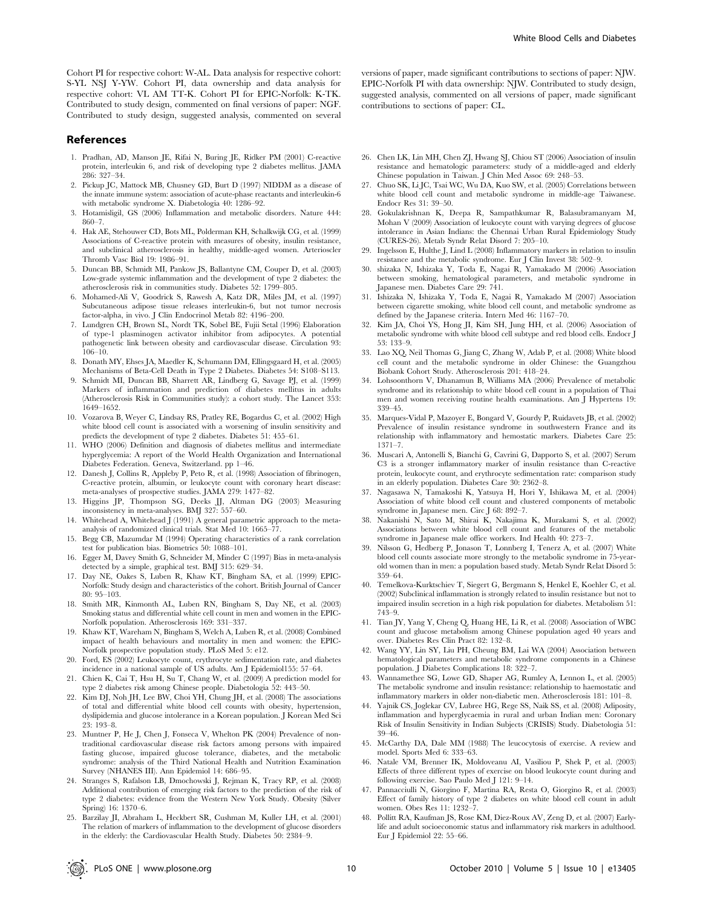#### References

- 1. Pradhan, AD, Manson JE, Rifai N, Buring JE, Ridker PM (2001) C-reactive protein, interleukin 6, and risk of developing type 2 diabetes mellitus. JAMA 286: 327–34.
- 2. Pickup JC, Mattock MB, Chusney GD, Burt D (1997) NIDDM as a disease of the innate immune system: association of acute-phase reactants and interleukin-6 with metabolic syndrome X. Diabetologia 40: 1286–92.
- 3. Hotamisligil, GS (2006) Inflammation and metabolic disorders. Nature 444: 860–7.
- 4. Hak AE, Stehouwer CD, Bots ML, Polderman KH, Schalkwijk CG, et al. (1999) Associations of C-reactive protein with measures of obesity, insulin resistance, and subclinical atherosclerosis in healthy, middle-aged women. Arterioscler Thromb Vasc Biol 19: 1986–91.
- 5. Duncan BB, Schmidt MI, Pankow JS, Ballantyne CM, Couper D, et al. (2003) Low-grade systemic inflammation and the development of type 2 diabetes: the atherosclerosis risk in communities study. Diabetes 52: 1799–805.
- 6. Mohamed-Ali V, Goodrick S, Rawesh A, Katz DR, Miles JM, et al. (1997) Subcutaneous adipose tissue releases interleukin-6, but not tumor necrosis factor-alpha, in vivo. J Clin Endocrinol Metab 82: 4196–200.
- 7. Lundgren CH, Brown SL, Nordt TK, Sobel BE, Fujii Setal (1996) Elaboration of type-1 plasminogen activator inhibitor from adipocytes. A potential pathogenetic link between obesity and cardiovascular disease. Circulation 93: 106–10.
- 8. Donath MY, Ehses JA, Maedler K, Schumann DM, Ellingsgaard H, et al. (2005) Mechanisms of Beta-Cell Death in Type 2 Diabetes. Diabetes 54: S108–S113.
- 9. Schmidt MI, Duncan BB, Sharrett AR, Lindberg G, Savage PJ, et al. (1999) Markers of inflammation and prediction of diabetes mellitus in adults (Atherosclerosis Risk in Communities study): a cohort study. The Lancet 353: 1649–1652.
- 10. Vozarova B, Weyer C, Lindsay RS, Pratley RE, Bogardus C, et al. (2002) High white blood cell count is associated with a worsening of insulin sensitivity and predicts the development of type 2 diabetes. Diabetes 51: 455–61.
- 11. WHO (2006) Definition and diagnosis of diabetes mellitus and intermediate hyperglycemia: A report of the World Health Organization and International Diabetes Federation. Geneva, Switzerland. pp 1–46.
- 12. Danesh J, Collins R, Appleby P, Peto R, et al. (1998) Association of fibrinogen, C-reactive protein, albumin, or leukocyte count with coronary heart disease: meta-analyses of prospective studies. JAMA 279: 1477–82.
- 13. Higgins JP, Thompson SG, Deeks JJ, Altman DG (2003) Measuring inconsistency in meta-analyses. BMJ 327: 557–60.
- 14. Whitehead A, Whitehead J (1991) A general parametric approach to the metaanalysis of randomized clinical trials. Stat Med 10: 1665–77.
- 15. Begg CB, Mazumdar M (1994) Operating characteristics of a rank correlation test for publication bias. Biometrics 50: 1088–101.
- 16. Egger M, Davey Smith G, Schneider M, Minder C (1997) Bias in meta-analysis detected by a simple, graphical test. BMJ 315: 629–34.
- 17. Day NE, Oakes S, Luben R, Khaw KT, Bingham SA, et al. (1999) EPIC-Norfolk: Study design and characteristics of the cohort. British Journal of Cancer 80: 95–103.
- 18. Smith MR, Kinmonth AL, Luben RN, Bingham S, Day NE, et al. (2003) Smoking status and differential white cell count in men and women in the EPIC-Norfolk population. Atherosclerosis 169: 331–337.
- 19. Khaw KT, Wareham N, Bingham S, Welch A, Luben R, et al. (2008) Combined impact of health behaviours and mortality in men and women: the EPIC-Norfolk prospective population study. PLoS Med 5: e12.
- 20. Ford, ES (2002) Leukocyte count, erythrocyte sedimentation rate, and diabetes incidence in a national sample of US adults. Am J Epidemiol155: 57–64.
- 21. Chien K, Cai T, Hsu H, Su T, Chang W, et al. (2009) A prediction model for type 2 diabetes risk among Chinese people. Diabetologia 52: 443–50.
- 22. Kim DJ, Noh JH, Lee BW, Choi YH, Chung JH, et al. (2008) The associations of total and differential white blood cell counts with obesity, hypertension, dyslipidemia and glucose intolerance in a Korean population. J Korean Med Sci 23: 193–8.
- 23. Muntner P, He J, Chen J, Fonseca V, Whelton PK (2004) Prevalence of nontraditional cardiovascular disease risk factors among persons with impaired fasting glucose, impaired glucose tolerance, diabetes, and the metabolic syndrome: analysis of the Third National Health and Nutrition Examination Survey (NHANES III). Ann Epidemiol 14: 686–95.
- 24. Stranges S, Rafalson LB, Dmochowski J, Rejman K, Tracy RP, et al. (2008) Additional contribution of emerging risk factors to the prediction of the risk of type 2 diabetes: evidence from the Western New York Study. Obesity (Silver Spring) 16: 1370–6.
- 25. Barzilay JI, Abraham L, Heckbert SR, Cushman M, Kuller LH, et al. (2001) The relation of markers of inflammation to the development of glucose disorders in the elderly: the Cardiovascular Health Study. Diabetes 50: 2384–9.

versions of paper, made significant contributions to sections of paper: NJW. EPIC-Norfolk PI with data ownership: NJW. Contributed to study design, suggested analysis, commented on all versions of paper, made significant contributions to sections of paper: CL.

- 26. Chen LK, Lin MH, Chen ZJ, Hwang SJ, Chiou ST (2006) Association of insulin resistance and hematologic parameters: study of a middle-aged and elderly Chinese population in Taiwan. J Chin Med Assoc 69: 248–53.
- 27. Chuo SK, Li JC, Tsai WC, Wu DA, Kuo SW, et al. (2005) Correlations between white blood cell count and metabolic syndrome in middle-age Taiwanese. Endocr Res 31: 39–50.
- 28. Gokulakrishnan K, Deepa R, Sampathkumar R, Balasubramanyam M, Mohan V (2009) Association of leukocyte count with varying degrees of glucose intolerance in Asian Indians: the Chennai Urban Rural Epidemiology Study (CURES-26). Metab Syndr Relat Disord 7: 205–10.
- 29. Ingelsson E, Hulthe J, Lind L (2008) Inflammatory markers in relation to insulin resistance and the metabolic syndrome. Eur J Clin Invest 38: 502–9.
- 30. shizaka N, Ishizaka Y, Toda E, Nagai R, Yamakado M (2006) Association between smoking, hematological parameters, and metabolic syndrome in Japanese men. Diabetes Care 29: 741.
- 31. Ishizaka N, Ishizaka Y, Toda E, Nagai R, Yamakado M (2007) Association between cigarette smoking, white blood cell count, and metabolic syndrome as defined by the Japanese criteria. Intern Med 46: 1167–70.
- 32. Kim JA, Choi YS, Hong JI, Kim SH, Jung HH, et al. (2006) Association of metabolic syndrome with white blood cell subtype and red blood cells. Endocr J 53: 133–9.
- 33. Lao XQ, Neil Thomas G, Jiang C, Zhang W, Adab P, et al. (2008) White blood cell count and the metabolic syndrome in older Chinese: the Guangzhou Biobank Cohort Study. Atherosclerosis 201: 418–24.
- 34. Lohsoonthorn V, Dhanamun B, Williams MA (2006) Prevalence of metabolic syndrome and its relationship to white blood cell count in a population of Thai men and women receiving routine health examinations. Am  $\int$  Hypertens 19: 339–45.
- 35. Marques-Vidal P, Mazoyer E, Bongard V, Gourdy P, Ruidavets JB, et al. (2002) Prevalence of insulin resistance syndrome in southwestern France and its relationship with inflammatory and hemostatic markers. Diabetes Care 25: 1371–7.
- 36. Muscari A, Antonelli S, Bianchi G, Cavrini G, Dapporto S, et al. (2007) Serum C3 is a stronger inflammatory marker of insulin resistance than C-reactive protein, leukocyte count, and erythrocyte sedimentation rate: comparison study in an elderly population. Diabetes Care 30: 2362–8.
- 37. Nagasawa N, Tamakoshi K, Yatsuya H, Hori Y, Ishikawa M, et al. (2004) Association of white blood cell count and clustered components of metabolic syndrome in Japanese men. Circ J 68: 892–7.
- 38. Nakanishi N, Sato M, Shirai K, Nakajima K, Murakami S, et al. (2002) Associations between white blood cell count and features of the metabolic syndrome in Japanese male office workers. Ind Health 40: 273–7.
- 39. Nilsson G, Hedberg P, Jonason T, Lonnberg I, Tenerz A, et al. (2007) White blood cell counts associate more strongly to the metabolic syndrome in 75-yearold women than in men: a population based study. Metab Syndr Relat Disord 5: 359–64.
- 40. Temelkova-Kurktschiev T, Siegert G, Bergmann S, Henkel E, Koehler C, et al. (2002) Subclinical inflammation is strongly related to insulin resistance but not to impaired insulin secretion in a high risk population for diabetes. Metabolism 51: 743–9.
- 41. Tian JY, Yang Y, Cheng Q, Huang HE, Li R, et al. (2008) Association of WBC count and glucose metabolism among Chinese population aged 40 years and over. Diabetes Res Clin Pract 82: 132–8.
- 42. Wang YY, Lin SY, Liu PH, Cheung BM, Lai WA (2004) Association between hematological parameters and metabolic syndrome components in a Chinese population. J Diabetes Complications 18: 322–7.
- 43. Wannamethee SG, Lowe GD, Shaper AG, Rumley A, Lennon L, et al. (2005) The metabolic syndrome and insulin resistance: relationship to haemostatic and inflammatory markers in older non-diabetic men. Atherosclerosis 181: 101–8.
- 44. Yajnik CS, Joglekar CV, Lubree HG, Rege SS, Naik SS, et al. (2008) Adiposity, inflammation and hyperglycaemia in rural and urban Indian men: Coronary Risk of Insulin Sensitivity in Indian Subjects (CRISIS) Study. Diabetologia 51: 39–46.
- 45. McCarthy DA, Dale MM (1988) The leucocytosis of exercise. A review and model. Sports Med 6: 333–63.
- 46. Natale VM, Brenner IK, Moldoveanu AI, Vasiliou P, Shek P, et al. (2003) Effects of three different types of exercise on blood leukocyte count during and following exercise. Sao Paulo Med J 121: 9–14.
- 47. Pannacciulli N, Giorgino F, Martina RA, Resta O, Giorgino R, et al. (2003) Effect of family history of type 2 diabetes on white blood cell count in adult women. Obes Res 11: 1232–7.
- 48. Pollitt RA, Kaufman JS, Rose KM, Diez-Roux AV, Zeng D, et al. (2007) Earlylife and adult socioeconomic status and inflammatory risk markers in adulthood. Eur J Epidemiol 22: 55–66.